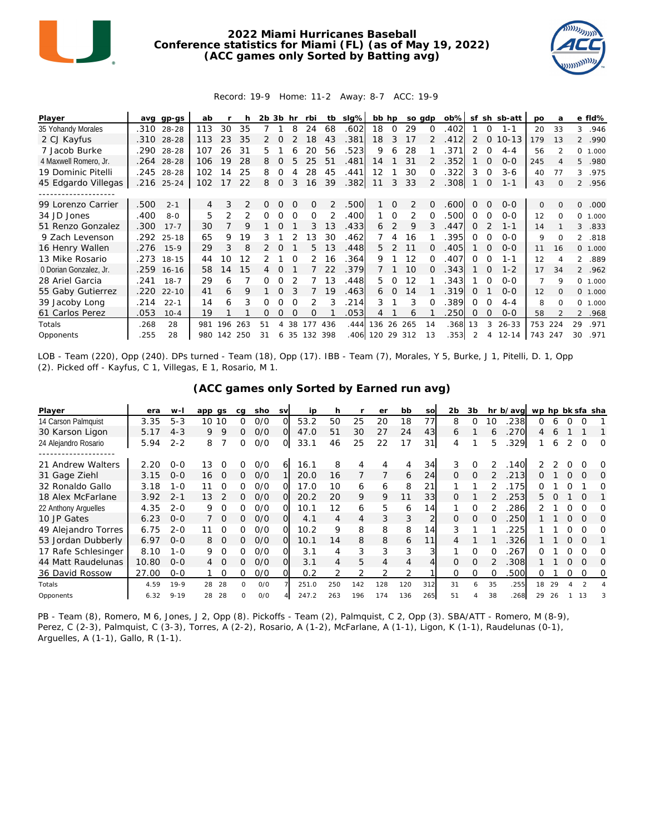

## **2022 Miami Hurricanes Baseball Conference statistics for Miami (FL) (as of May 19, 2022) (ACC games only Sorted by Batting avg)**



## Record: 19-9 Home: 11-2 Away: 8-7 ACC: 19-9

| Player                 | ava  | $qp-gs$    | ab  |     |               | 2b | 3b       | hr       | rbi      | tb  | $slq\%$ | bb hp |               | so adp |               | $ob\%$ | sf            | sh       | sb-att    | po  | a        |                | e fld%  |
|------------------------|------|------------|-----|-----|---------------|----|----------|----------|----------|-----|---------|-------|---------------|--------|---------------|--------|---------------|----------|-----------|-----|----------|----------------|---------|
| 35 Yohandy Morales     |      | .310 28-28 | 113 | 30  | 35            |    |          | 8        | 24       | 68  | .602    | 18    | $\Omega$      | 29     | $\Omega$      | .402   |               | 0        | $1 - 1$   | 20  | 33       | 3              | .946    |
| 2 CJ Kayfus            | .310 | $28 - 28$  | 113 | 23  | 35            |    |          |          | 18       | 43  | .381    | 18    | 3             | 17     |               | .412   | 2             | $\Omega$ | $10 - 13$ | 179 | 13       |                | 2 .990  |
| 7 Jacob Burke          | .290 | 28-28      | 107 | 26  | 31            | 5. |          |          | 20       | 56  | .523    | 9     | 6             | 28     |               | 371    | $\mathcal{P}$ | 0        | $4 - 4$   | 56  |          |                | 0 1.000 |
| 4 Maxwell Romero, Jr.  | .264 | 28-28      | 106 | 19  | 28            | 8  |          |          | 25       | 51  | .481    | 14    |               | 31     |               | 352    |               | $\Omega$ | $O - O$   | 245 |          | 5              | .980    |
| 19 Dominic Pitelli     | .245 | 28-28      | 102 | 14  | 25            | 8  | Ω        |          | 28       | 45  | .441    | 12    |               | 30     | 0             | 322    | 3             | 0        | $3 - 6$   | 40  | 77       | 3              | .975    |
| 45 Edgardo Villegas    |      | .216 25-24 | 102 | 17  | 22            | 8  | $\Omega$ | 3        | 16       | 39  | .382    | 11    | 3             | 33     | $\mathcal{P}$ | .308   |               | 0        | $1 - 1$   | 43  | $\Omega$ |                | 2 .956  |
|                        |      |            |     |     |               |    |          |          |          |     |         |       |               |        |               |        |               |          |           |     |          |                |         |
| 99 Lorenzo Carrier     | 500  | $2 - 1$    | 4   | 3   | $\mathcal{P}$ | 0  | $\Omega$ | $\Omega$ | $\Omega$ | 2   | .500    |       | $\Omega$      | 2      | $\Omega$      | .600   | $\Omega$      | $\Omega$ | $0 - 0$   | 0   | $\Omega$ | 0              | .000    |
| 34 JD Jones            | .400 | $8 - 0$    | 5   | 2   | 2             | Ω  | O        | $\Omega$ | $\Omega$ |     | .400    |       | ∩             | 2      | ∩             | .500   | ∩             | ∩        | $O-O$     | 12  | $\Omega$ | $\Omega$       | 1.000   |
| 51 Renzo Gonzalez      | .300 | $17 - 7$   | 30  |     | 9             |    | O        |          | 3        | 13  | .433    | 6     | 2             | 9      | 3             | .447   | 0             | 2        | 1-1       | 14  |          | 3              | .833    |
| 9 Zach Levenson        |      | .292 25-18 | 65  | 9   | 19            | 3  |          |          | 13       | 30  | .462    |       | 4             | 16     |               | .395   | 0             | O        | $0 - 0$   | 9   | $\Omega$ | $\overline{2}$ | .818    |
| 16 Henry Wallen        | .276 | $15-9$     | 29  | 3   | 8             |    |          |          | 5.       | 13  | .448    | 5.    | $\mathcal{P}$ | 11     |               | .405   |               | $\Omega$ | $0 - 0$   | 11  | 16       |                | 0 1.000 |
| 13 Mike Rosario        | .273 | $18 - 15$  | 44  | 10  | 12            |    |          |          | 2        | 16  | .364    | 9     |               | 12     | ∩             | .407   | 0             | O        | 1-1       | 12  |          | $\mathcal{L}$  | .889    |
| 0 Dorian Gonzalez, Jr. | .259 | $16 - 16$  | 58  | 14  | 15            |    | O        |          |          | 22  | .379    |       |               | 10     | O.            | .343   |               | 0        | $1 - 2$   | 17  | 34       |                | 2 .962  |
| 28 Ariel Garcia        | .241 | $18 - 7$   | 29  | 6   |               | O  | Ω        |          |          | 13  | .448    | 5.    | 0             | 12     |               | 343    |               | ∩        | $0 - 0$   | 7   | 9        |                | 0 1.000 |
| 55 Gaby Gutierrez      | .220 | $22 - 10$  | 41  | 6   | 9             |    |          |          |          | 19  | .463    | 6     | $\Omega$      | 14     |               | 319    | O             |          | $0 - 0$   | 12  | 0        |                | 0 1.000 |
| 39 Jacoby Long         | .214 | $22 - 1$   | 14  | 6   | 3             | Ω  |          |          | 2        | 3   | 214     | 3     |               | 3      |               | 389    | 0             | ∩        | $4 - 4$   | 8   | $\Omega$ | $\Omega$       | 1.000   |
| 61 Carlos Perez        | 053  | $10 - 4$   | 19  |     |               | Ω  | O        | $\Omega$ | 0        |     | .053    | 4     |               | 6      |               | 250    | O             | O        | $0 - 0$   | 58  |          | $\overline{2}$ | .968    |
| Totals                 | .268 | 28         | 981 | 196 | 263           | 51 |          | 38       | 177      | 436 | .444    | 136   |               | 26 265 | 14            | .368   | 13            | 3        | $26 - 33$ | 753 | 224      | 29             | .971    |
| Opponents              | .255 | 28         | 980 | 142 | 250           | 31 | 6.       | -35      | 132      | 398 | .406    | 120   | 29            | 312    | 13            | .353   | $\mathcal{P}$ | 4        | $12 - 14$ | 743 | 247      | 30             | .971    |

LOB - Team (220), Opp (240). DPs turned - Team (18), Opp (17). IBB - Team (7), Morales, Y 5, Burke, J 1, Pitelli, D. 1, Opp (2). Picked off - Kayfus, C 1, Villegas, E 1, Rosario, M 1.

| (ACC games only Sorted by Earned run avg) |  |
|-------------------------------------------|--|
|-------------------------------------------|--|

| Player               | era   | $W -$    | app gs         | ca       | sho | <b>SV</b> | ip    | h   |     | er  | bb  | SO  | 2 <sub>b</sub> | 3b       |    | hr b/avg | wp hp bk sfa sha |              |          |          |          |
|----------------------|-------|----------|----------------|----------|-----|-----------|-------|-----|-----|-----|-----|-----|----------------|----------|----|----------|------------------|--------------|----------|----------|----------|
| 14 Carson Palmquist  | 3.35  | $5 - 3$  | 10<br>10       | ∩        | O/O | Ω         | 53.2  | 50  | 25  | 20  | 18  | 77  | 8              | $\Omega$ | 10 | 238      | O                | h            |          |          |          |
| 30 Karson Ligon      | 5.17  | $4 - 3$  | 9<br>9         | 0        | O/O | $\Omega$  | 47.0  | 51  | 30  | 27  | 24  | 43  | 6              |          | 6  | .270     | 4                | <sub>n</sub> |          |          |          |
| 24 Alejandro Rosario | 5.94  | $2 - 2$  | 8              | 0        | O/O | O.        | 33.1  | 46  | 25  | 22  | 17  | 31  | 4              |          | 5. | .329     |                  | 6            |          | 0        | $\Omega$ |
| 21 Andrew Walters    | 2.20  | $0 - 0$  | 13             |          | O/O | 61        | 16.1  | 8   | 4   |     | 4   | 34  | 3              | $\Omega$ |    | 140      |                  |              |          |          | O        |
| 31 Gage Ziehl        | 3.15  | $0 - 0$  | 16<br>$\Omega$ | 0        | O/O |           | 20.0  | 16  |     |     | 6   | 24  | $\Omega$       | $\Omega$ | 2  | .213     | 0                |              | O        | $\Omega$ | O        |
| 32 Ronaldo Gallo     | 3.18  | $1 - 0$  |                | $^{(1)}$ | O/O |           | 17.0  | 10  | 6   | 6   | 8   | 21  |                |          |    | 175      |                  |              |          |          | Ω        |
| 18 Alex McFarlane    | 3.92  | $2 - 1$  | 13             | 0        | O/O | ΩI        | 20.2  | 20  | 9   | 9   | 11  | 33  |                |          |    | .253     | 5.               |              |          | $\Omega$ |          |
| 22 Anthony Arquelles | 4.35  | $2 - 0$  | 9              | O        | O/O |           | 10.1  | 12  | 6   | 5   | 6   | 14  |                | Ω        |    | 286      |                  |              |          |          | O        |
| 10 JP Gates          | 6.23  | $0 - 0$  | 70             | 0        | O/O | O.        | 4.1   | 4   | 4   | 3   | 3   |     | $\Omega$       | $\Omega$ | O. | 250      |                  |              | 0        | $\Omega$ | 0        |
| 49 Alejandro Torres  | 6.75  | $2 - 0$  | $\Omega$       | 0        | O/O | $\Omega$  | 10.2  | 9   | 8   | 8   | 8   | 14  | 3              |          |    | 225      |                  |              |          | $\Omega$ | Ω        |
| 53 Jordan Dubberly   | 6.97  | $0 - 0$  | $\Omega$<br>8  | 0        | O/O | $\Omega$  | 10.1  | 14  | 8   | 8   | 6   | 11  | 4              |          |    | 326      |                  |              | $\Omega$ | $\Omega$ |          |
| 17 Rafe Schlesinger  | 8.10  | $1 - 0$  | 9<br>$\Omega$  | Ω        | 0/0 | O.        | 3.1   | 4   | 3   | 3   | 3   | 3   |                | O        | ∩  | 267      |                  |              |          |          | Ω        |
| 44 Matt Raudelunas   | 10.80 | $0 - 0$  | $\Omega$<br>4  | 0        | O/O | ΩI        | 3.1   | 4   | 5   | 4   | 4   |     | $\Omega$       | $\Omega$ |    | 308      |                  |              | O        | $\Omega$ | O        |
| 36 David Rossow      | 27.00 | $0 - 0$  |                |          | 0/0 | O         | 0.2   |     | 2   |     |     |     | $\Omega$       |          |    | .500     | Ο                |              |          | Ω        | 0        |
| Totals               | 4.59  | $19-9$   | 28<br>28       | O        | O/O |           | 251.0 | 250 | 142 | 128 | 120 | 312 | 31             | 6        | 35 | .255     | 18               | 29           |          |          |          |
| Opponents            | 6.32  | $9 - 19$ | 28<br>28       |          | O/O |           | 247.2 | 263 | 196 | 174 | 136 | 265 | 51             |          | 38 | 268      | 29               | 26           |          | 13       |          |

PB - Team (8), Romero, M 6, Jones, J 2, Opp (8). Pickoffs - Team (2), Palmquist, C 2, Opp (3). SBA/ATT - Romero, M (8-9), Perez, C (2-3), Palmquist, C (3-3), Torres, A (2-2), Rosario, A (1-2), McFarlane, A (1-1), Ligon, K (1-1), Raudelunas (0-1), Arguelles, A (1-1), Gallo, R (1-1).